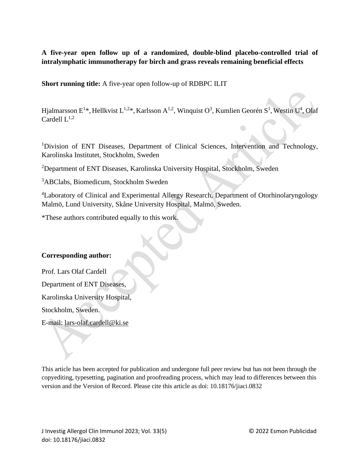# **A five-year open follow up of a randomized, double-blind placebo-controlled trial of intralymphatic immunotherapy for birch and grass reveals remaining beneficial effects**

**Short running title:** A five-year open follow-up of RDBPC ILIT

Hjalmarsson E<sup>1\*</sup>, Hellkvist L<sup>1,2\*</sup>, Karlsson A<sup>1,2</sup>, Winquist O<sup>3</sup>, Kumlien Georén S<sup>1</sup>, Westin U<sup>4</sup>, Olaf Cardell  $L^{1,2}$ 

 $\bigcap$ 

<sup>1</sup>Division of ENT Diseases, Department of Clinical Sciences, Intervention and Technology, Karolinska Institutet, Stockholm, Sweden

<sup>2</sup>Department of ENT Diseases, Karolinska University Hospital, Stockholm, Sweden

<sup>3</sup>ABClabs, Biomedicum, Stockholm Sweden

<sup>4</sup>Laboratory of Clinical and Experimental Allergy Research, Department of Otorhinolaryngology Malmö, Lund University, Skåne University Hospital, Malmö, Sweden.

\*These authors contributed equally to this work.

## **Corresponding author:**

Prof. Lars Olaf Cardell Department of ENT Diseases, Karolinska University Hospital, Stockholm, Sweden. E-mail: [lars-olaf.cardell@ki.se](mailto:lars-olaf.cardell@ki.se)

This article has been accepted for publication and undergone full peer review but has not been through the copyediting, typesetting, pagination and proofreading process, which may lead to differences between this version and the Version of Record. Please cite this article as doi: 10.18176/jiaci.0832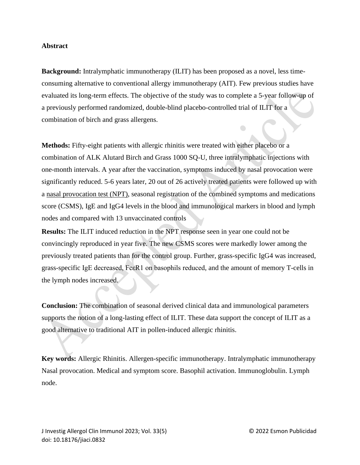### **Abstract**

**Background:** Intralymphatic immunotherapy (ILIT) has been proposed as a novel, less timeconsuming alternative to conventional allergy immunotherapy (AIT). Few previous studies have evaluated its long-term effects. The objective of the study was to complete a 5-year follow-up of a previously performed randomized, double-blind placebo-controlled trial of ILIT for a combination of birch and grass allergens.

**Methods:** Fifty-eight patients with allergic rhinitis were treated with either placebo or a combination of ALK Alutard Birch and Grass 1000 SQ-U, three intralymphatic injections with one-month intervals. A year after the vaccination, symptoms induced by nasal provocation were significantly reduced. 5-6 years later, 20 out of 26 actively treated patients were followed up with a nasal provocation test (NPT), seasonal registration of the combined symptoms and medications score (CSMS), IgE and IgG4 levels in the blood and immunological markers in blood and lymph nodes and compared with 13 unvaccinated controls

**Results:** The ILIT induced reduction in the NPT response seen in year one could not be convincingly reproduced in year five. The new CSMS scores were markedly lower among the previously treated patients than for the control group. Further, grass-specific IgG4 was increased, grass-specific IgE decreased, FcεR1 on basophils reduced, and the amount of memory T-cells in the lymph nodes increased.

**Conclusion:** The combination of seasonal derived clinical data and immunological parameters supports the notion of a long-lasting effect of ILIT. These data support the concept of ILIT as a good alternative to traditional AIT in pollen-induced allergic rhinitis.

**Key words:** Allergic Rhinitis. Allergen-specific immunotherapy. Intralymphatic immunotherapy Nasal provocation. Medical and symptom score. Basophil activation. Immunoglobulin. Lymph node.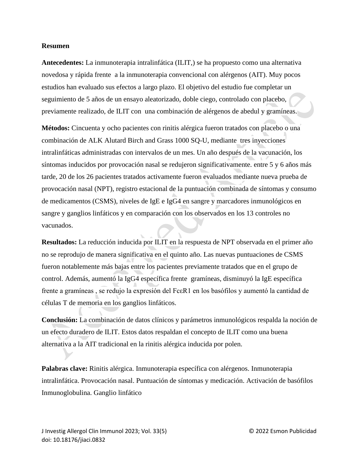#### **Resumen**

**Antecedentes:** La inmunoterapia intralinfática (ILIT,) se ha propuesto como una alternativa novedosa y rápida frente a la inmunoterapia convencional con alérgenos (AIT). Muy pocos estudios han evaluado sus efectos a largo plazo. El objetivo del estudio fue completar un seguimiento de 5 años de un ensayo aleatorizado, doble ciego, controlado con placebo, previamente realizado, de ILIT con una combinación de alérgenos de abedul y gramíneas.

**Métodos:** Cincuenta y ocho pacientes con rinitis alérgica fueron tratados con placebo o una combinación de ALK Alutard Birch and Grass 1000 SQ-U, mediante tres inyecciones intralinfáticas administradas con intervalos de un mes. Un año después de la vacunación, los síntomas inducidos por provocación nasal se redujeron significativamente. entre 5 y 6 años más tarde, 20 de los 26 pacientes tratados activamente fueron evaluados mediante nueva prueba de provocación nasal (NPT), registro estacional de la puntuación combinada de síntomas y consumo de medicamentos (CSMS), niveles de IgE e IgG4 en sangre y marcadores inmunológicos en sangre y ganglios linfáticos y en comparación con los observados en los 13 controles no vacunados.

**Resultados:** La reducción inducida por ILIT en la respuesta de NPT observada en el primer año no se reprodujo de manera significativa en el quinto año. Las nuevas puntuaciones de CSMS fueron notablemente más bajas entre los pacientes previamente tratados que en el grupo de control. Además, aumentó la IgG4 específica frente gramíneas, disminuyó la IgE específica frente a gramíneas , se redujo la expresión del FcεR1 en los basófilos y aumentó la cantidad de células T de memoria en los ganglios linfáticos.

**Conclusión:** La combinación de datos clínicos y parámetros inmunológicos respalda la noción de un efecto duradero de ILIT. Estos datos respaldan el concepto de ILIT como una buena alternativa a la AIT tradicional en la rinitis alérgica inducida por polen.

**Palabras clave:** Rinitis alérgica. Inmunoterapia específica con alérgenos. Inmunoterapia intralinfática. Provocación nasal. Puntuación de síntomas y medicación. Activación de basófilos Inmunoglobulina. Ganglio linfático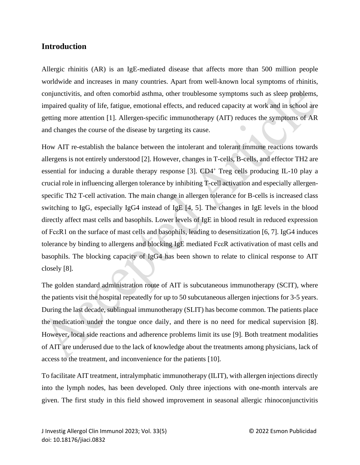# **Introduction**

Allergic rhinitis (AR) is an IgE-mediated disease that affects more than 500 million people worldwide and increases in many countries. Apart from well-known local symptoms of rhinitis, conjunctivitis, and often comorbid asthma, other troublesome symptoms such as sleep problems, impaired quality of life, fatigue, emotional effects, and reduced capacity at work and in school are getting more attention [1]. Allergen-specific immunotherapy (AIT) reduces the symptoms of AR and changes the course of the disease by targeting its cause.

How AIT re-establish the balance between the intolerant and tolerant immune reactions towards allergens is not entirely understood [2]. However, changes in T-cells, B-cells, and effector TH2 are essential for inducing a durable therapy response [3]. CD4<sup>+</sup> Treg cells producing IL-10 play a crucial role in influencing allergen tolerance by inhibiting T-cell activation and especially allergenspecific Th2 T-cell activation. The main change in allergen tolerance for B-cells is increased class switching to IgG, especially IgG4 instead of IgE  $[4, 5]$ . The changes in IgE levels in the blood directly affect mast cells and basophils. Lower levels of IgE in blood result in reduced expression of FcεR1 on the surface of mast cells and basophils, leading to desensitization [6, 7]. IgG4 induces tolerance by binding to allergens and blocking IgE mediated FcεR activativation of mast cells and basophils. The blocking capacity of IgG4 has been shown to relate to clinical response to AIT closely [8].

The golden standard administration route of AIT is subcutaneous immunotherapy (SCIT), where the patients visit the hospital repeatedly for up to 50 subcutaneous allergen injections for 3-5 years. During the last decade, sublingual immunotherapy (SLIT) has become common. The patients place the medication under the tongue once daily, and there is no need for medical supervision [8]. However, local side reactions and adherence problems limit its use [9]. Both treatment modalities of AIT are underused due to the lack of knowledge about the treatments among physicians, lack of access to the treatment, and inconvenience for the patients [10].

To facilitate AIT treatment, intralymphatic immunotherapy (ILIT), with allergen injections directly into the lymph nodes, has been developed. Only three injections with one-month intervals are given. The first study in this field showed improvement in seasonal allergic rhinoconjunctivitis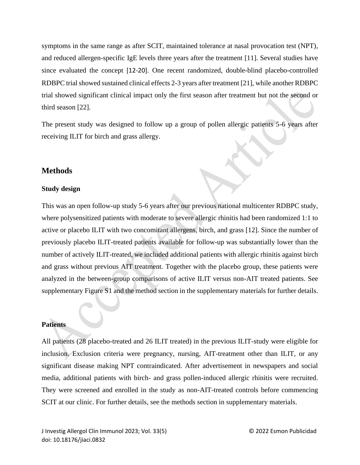symptoms in the same range as after SCIT, maintained tolerance at nasal provocation test (NPT), and reduced allergen-specific IgE levels three years after the treatment [11]. Several studies have since evaluated the concept [12-20]. One recent randomized, double-blind placebo-controlled RDBPC trial showed sustained clinical effects 2-3 years after treatment [21], while another RDBPC trial showed significant clinical impact only the first season after treatment but not the second or third season [22].

The present study was designed to follow up a group of pollen allergic patients 5-6 years after receiving ILIT for birch and grass allergy.

# **Methods**

### **Study design**

This was an open follow-up study 5-6 years after our previous national multicenter RDBPC study, where polysensitized patients with moderate to severe allergic rhinitis had been randomized 1:1 to active or placebo ILIT with two concomitant allergens, birch, and grass [12]. Since the number of previously placebo ILIT-treated patients available for follow-up was substantially lower than the number of actively ILIT-treated, we included additional patients with allergic rhinitis against birch and grass without previous AIT treatment. Together with the placebo group, these patients were analyzed in the between-group comparisons of active ILIT versus non-AIT treated patients. See supplementary Figure S1 and the method section in the supplementary materials for further details.

# **Patients**

All patients (28 placebo-treated and 26 ILIT treated) in the previous ILIT-study were eligible for inclusion. Exclusion criteria were pregnancy, nursing, AIT-treatment other than ILIT, or any significant disease making NPT contraindicated. After advertisement in newspapers and social media, additional patients with birch- and grass pollen-induced allergic rhinitis were recruited. They were screened and enrolled in the study as non-AIT-treated controls before commencing SCIT at our clinic. For further details, see the methods section in supplementary materials.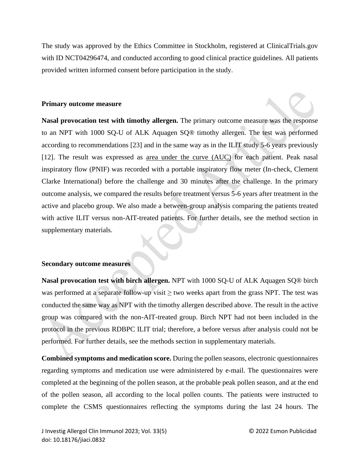The study was approved by the Ethics Committee in Stockholm, registered at ClinicalTrials.gov with ID NCT04296474, and conducted according to good clinical practice guidelines. All patients provided written informed consent before participation in the study.

# **Primary outcome measure**

**Nasal provocation test with timothy allergen.** The primary outcome measure was the response to an NPT with 1000 SQ-U of ALK Aquagen SQ® timothy allergen. The test was performed according to recommendations [23] and in the same way as in the ILIT study 5-6 years previously [12]. The result was expressed as area under the curve (AUC) for each patient. Peak nasal inspiratory flow (PNIF) was recorded with a portable inspiratory flow meter (In-check, Clement Clarke International) before the challenge and 30 minutes after the challenge. In the primary outcome analysis, we compared the results before treatment versus 5-6 years after treatment in the active and placebo group. We also made a between-group analysis comparing the patients treated with active ILIT versus non-AIT-treated patients. For further details, see the method section in supplementary materials.

# **Secondary outcome measures**

**Nasal provocation test with birch allergen.** NPT with 1000 SQ-U of ALK Aquagen SQ® birch was performed at a separate follow-up visit  $\geq$  two weeks apart from the grass NPT. The test was conducted the same way as NPT with the timothy allergen described above. The result in the active group was compared with the non-AIT-treated group. Birch NPT had not been included in the protocol in the previous RDBPC ILIT trial; therefore, a before versus after analysis could not be performed. For further details, see the methods section in supplementary materials.

**Combined symptoms and medication score.** During the pollen seasons, electronic questionnaires regarding symptoms and medication use were administered by e-mail. The questionnaires were completed at the beginning of the pollen season, at the probable peak pollen season, and at the end of the pollen season, all according to the local pollen counts. The patients were instructed to complete the CSMS questionnaires reflecting the symptoms during the last 24 hours. The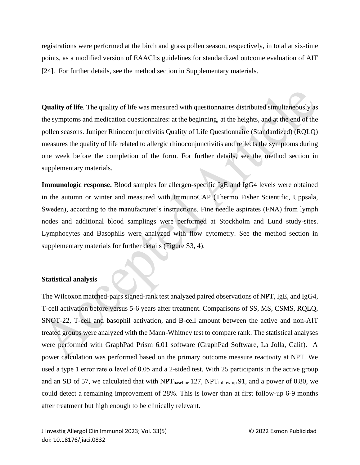registrations were performed at the birch and grass pollen season, respectively, in total at six-time points, as a modified version of EAACI:s guidelines for standardized outcome evaluation of AIT [24]. For further details, see the method section in Supplementary materials.

**Quality of life**. The quality of life was measured with questionnaires distributed simultaneously as the symptoms and medication questionnaires: at the beginning, at the heights, and at the end of the pollen seasons. Juniper Rhinoconjunctivitis Quality of Life Questionnaire (Standardized) (RQLQ) measures the quality of life related to allergic rhinoconjunctivitis and reflects the symptoms during one week before the completion of the form. For further details, see the method section in supplementary materials.

**Immunologic response.** Blood samples for allergen-specific IgE and IgG4 levels were obtained in the autumn or winter and measured with ImmunoCAP (Thermo Fisher Scientific, Uppsala, Sweden), according to the manufacturer's instructions. Fine needle aspirates (FNA) from lymph nodes and additional blood samplings were performed at Stockholm and Lund study-sites. Lymphocytes and Basophils were analyzed with flow cytometry. See the method section in supplementary materials for further details (Figure S3, 4).

## **Statistical analysis**

The Wilcoxon matched-pairs signed-rank test analyzed paired observations of NPT, IgE, and IgG4, T-cell activation before versus 5-6 years after treatment. Comparisons of SS, MS, CSMS, RQLQ, SNOT-22, T-cell and basophil activation, and B-cell amount between the active and non-AIT treated groups were analyzed with the Mann-Whitney test to compare rank. The statistical analyses were performed with GraphPad Prism 6.01 software (GraphPad Software, La Jolla, Calif). A power calculation was performed based on the primary outcome measure reactivity at NPT. We used a type 1 error rate  $\alpha$  level of 0.05 and a 2-sided test. With 25 participants in the active group and an SD of 57, we calculated that with  $NPT_{\text{baseline}} 127$ ,  $NPT_{\text{follow-up}} 91$ , and a power of 0.80, we could detect a remaining improvement of 28%. This is lower than at first follow-up 6-9 months after treatment but high enough to be clinically relevant.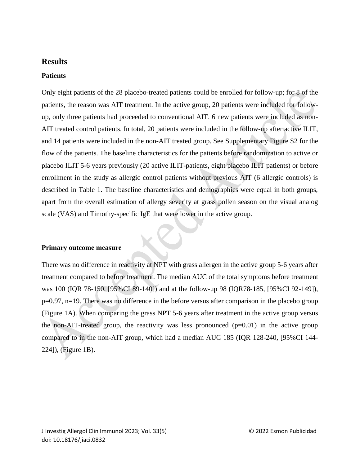# **Results**

## **Patients**

Only eight patients of the 28 placebo-treated patients could be enrolled for follow-up; for 8 of the patients, the reason was AIT treatment. In the active group, 20 patients were included for followup, only three patients had proceeded to conventional AIT. 6 new patients were included as non-AIT treated control patients. In total, 20 patients were included in the follow-up after active ILIT, and 14 patients were included in the non-AIT treated group. See Supplementary Figure S2 for the flow of the patients. The baseline characteristics for the patients before randomization to active or placebo ILIT 5-6 years previously (20 active ILIT-patients, eight placebo ILIT patients) or before enrollment in the study as allergic control patients without previous AIT (6 allergic controls) is described in Table 1. The baseline characteristics and demographics were equal in both groups, apart from the overall estimation of allergy severity at grass pollen season on the visual analog scale (VAS) and Timothy-specific IgE that were lower in the active group.

#### **Primary outcome measure**

There was no difference in reactivity at NPT with grass allergen in the active group 5-6 years after treatment compared to before treatment. The median AUC of the total symptoms before treatment was 100 (IQR 78-150, [95%CI 89-140]) and at the follow-up 98 (IQR78-185, [95%CI 92-149]), p=0.97, n=19. There was no difference in the before versus after comparison in the placebo group (Figure 1A). When comparing the grass NPT 5-6 years after treatment in the active group versus the non-AIT-treated group, the reactivity was less pronounced  $(p=0.01)$  in the active group compared to in the non-AIT group, which had a median AUC 185 (IQR 128-240, [95%CI 144- 224]), (Figure 1B).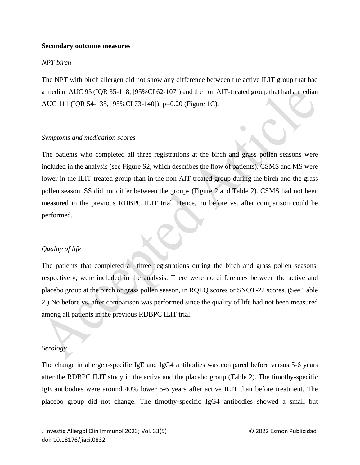#### **Secondary outcome measures**

#### *NPT birch*

The NPT with birch allergen did not show any difference between the active ILIT group that had a median AUC 95 (IQR 35-118, [95%CI 62-107]) and the non AIT-treated group that had a median AUC 111 (IQR 54-135, [95%CI 73-140]), p=0.20 (Figure 1C).

 $\bigodot$ 

#### *Symptoms and medication scores*

The patients who completed all three registrations at the birch and grass pollen seasons were included in the analysis (see Figure S2, which describes the flow of patients). CSMS and MS were lower in the ILIT-treated group than in the non-AIT-treated group during the birch and the grass pollen season. SS did not differ between the groups (Figure 2 and Table 2). CSMS had not been measured in the previous RDBPC ILIT trial. Hence, no before vs. after comparison could be performed.

#### *Quality of life*

The patients that completed all three registrations during the birch and grass pollen seasons, respectively, were included in the analysis. There were no differences between the active and placebo group at the birch or grass pollen season, in RQLQ scores or SNOT-22 scores. (See Table 2.) No before vs. after comparison was performed since the quality of life had not been measured among all patients in the previous RDBPC ILIT trial.

#### *Serology*

The change in allergen-specific IgE and IgG4 antibodies was compared before versus 5-6 years after the RDBPC ILIT study in the active and the placebo group (Table 2). The timothy-specific IgE antibodies were around 40% lower 5-6 years after active ILIT than before treatment. The placebo group did not change. The timothy-specific IgG4 antibodies showed a small but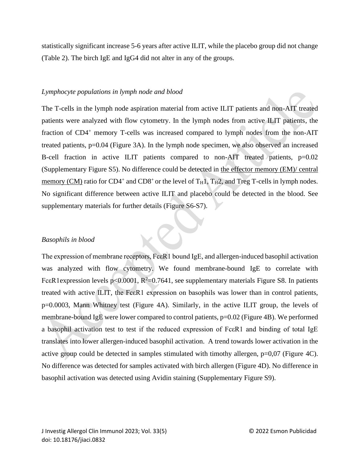statistically significant increase 5-6 years after active ILIT, while the placebo group did not change (Table 2). The birch IgE and IgG4 did not alter in any of the groups.

## *Lymphocyte populations in lymph node and blood*

The T-cells in the lymph node aspiration material from active ILIT patients and non-AIT treated patients were analyzed with flow cytometry. In the lymph nodes from active ILIT patients, the fraction of CD4<sup>+</sup> memory T-cells was increased compared to lymph nodes from the non-AIT treated patients, p=0.04 (Figure 3A). In the lymph node specimen, we also observed an increased B-cell fraction in active ILIT patients compared to non-AIT treated patients, p=0.02 (Supplementary Figure S5). No difference could be detected in the effector memory (EM)/ central memory (CM) ratio for CD4<sup>+</sup> and CD8<sup>+</sup> or the level of  $T_H1$ ,  $T_H2$ , and Treg T-cells in lymph nodes. No significant difference between active ILIT and placebo could be detected in the blood. See supplementary materials for further details (Figure S6-S7).

## *Basophils in blood*

The expression of membrane receptors, FceR1 bound IgE, and allergen-induced basophil activation was analyzed with flow cytometry. We found membrane-bound IgE to correlate with Fc $\epsilon$ R1expression levels p<0.0001, R<sup>2</sup>=0.7641, see supplementary materials Figure S8. In patients treated with active ILIT, the FcεR1 expression on basophils was lower than in control patients, p=0.0003, Mann Whitney test (Figure 4A). Similarly, in the active ILIT group, the levels of membrane-bound IgE were lower compared to control patients, p=0.02 (Figure 4B). We performed a basophil activation test to test if the reduced expression of FcεR1 and binding of total IgE translates into lower allergen-induced basophil activation. A trend towards lower activation in the active group could be detected in samples stimulated with timothy allergen, p=0,07 (Figure 4C). No difference was detected for samples activated with birch allergen (Figure 4D). No difference in basophil activation was detected using Avidin staining (Supplementary Figure S9).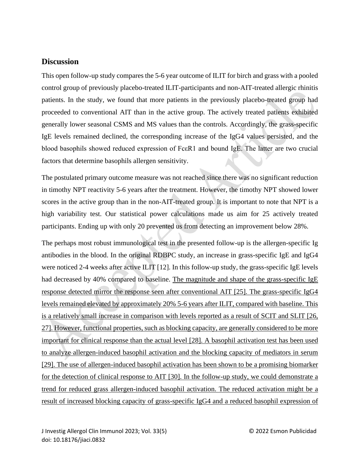# **Discussion**

This open follow-up study compares the 5-6 year outcome of ILIT for birch and grass with a pooled control group of previously placebo-treated ILIT-participants and non-AIT-treated allergic rhinitis patients. In the study, we found that more patients in the previously placebo-treated group had proceeded to conventional AIT than in the active group. The actively treated patients exhibited generally lower seasonal CSMS and MS values than the controls. Accordingly, the grass-specific IgE levels remained declined, the corresponding increase of the IgG4 values persisted, and the blood basophils showed reduced expression of Fc $\epsilon$ R1 and bound IgE. The latter are two crucial factors that determine basophils allergen sensitivity.

The postulated primary outcome measure was not reached since there was no significant reduction in timothy NPT reactivity 5-6 years after the treatment. However, the timothy NPT showed lower scores in the active group than in the non-AIT-treated group. It is important to note that NPT is a high variability test. Our statistical power calculations made us aim for 25 actively treated participants. Ending up with only 20 prevented us from detecting an improvement below 28%.

The perhaps most robust immunological test in the presented follow-up is the allergen-specific Ig antibodies in the blood. In the original RDBPC study, an increase in grass-specific IgE and IgG4 were noticed 2-4 weeks after active ILIT [12]. In this follow-up study, the grass-specific IgE levels had decreased by 40% compared to baseline. The magnitude and shape of the grass-specific IgE response detected mirror the response seen after conventional AIT [25]. The grass-specific IgG4 levels remained elevated by approximately 20% 5-6 years after ILIT, compared with baseline. This is a relatively small increase in comparison with levels reported as a result of SCIT and SLIT [26, 27]. However, functional properties, such as blocking capacity, are generally considered to be more important for clinical response than the actual level [28]. A basophil activation test has been used to analyze allergen-induced basophil activation and the blocking capacity of mediators in serum [29]. The use of allergen-induced basophil activation has been shown to be a promising biomarker for the detection of clinical response to AIT [30]. In the follow-up study, we could demonstrate a trend for reduced grass allergen-induced basophil activation. The reduced activation might be a result of increased blocking capacity of grass-specific IgG4 and a reduced basophil expression of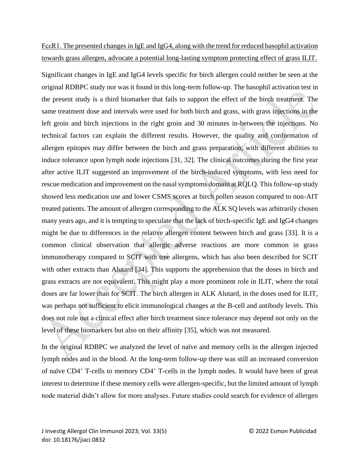# FcεR1. The presented changes in IgE and IgG4, along with the trend for reduced basophil activation towards grass allergen, advocate a potential long-lasting symptom protecting effect of grass ILIT.

Significant changes in IgE and IgG4 levels specific for birch allergen could neither be seen at the original RDBPC study nor was it found in this long-term follow-up. The basophil activation test in the present study is a third biomarker that fails to support the effect of the birch treatment. The same treatment dose and intervals were used for both birch and grass, with grass injections in the left groin and birch injections in the right groin and 30 minutes in-between the injections. No technical factors can explain the different results. However, the quality and conformation of allergen epitopes may differ between the birch and grass preparation, with different abilities to induce tolerance upon lymph node injections [31, 32]. The clinical outcomes during the first year after active ILIT suggested an improvement of the birch-induced symptoms, with less need for rescue medication and improvement on the nasal symptoms domain at RQLQ. This follow-up study showed less medication use and lower CSMS scores at birch pollen season compared to non-AIT treated patients. The amount of allergen corresponding to the ALK SQ levels was arbitrarily chosen many years ago, and it is tempting to speculate that the lack of birch-specific IgE and IgG4 changes might be due to differences in the relative allergen content between birch and grass [33]. It is a common clinical observation that allergic adverse reactions are more common in grass immunotherapy compared to SCIT with tree allergens, which has also been described for SCIT with other extracts than Alutard [34]. This supports the apprehension that the doses in birch and grass extracts are not equivalent. This might play a more prominent role in ILIT, where the total doses are far lower than for SCIT. The birch allergen in ALK Alutard, in the doses used for ILIT, was perhaps not sufficient to elicit immunological changes at the B-cell and antibody levels. This does not rule out a clinical effect after birch treatment since tolerance may depend not only on the level of these biomarkers but also on their affinity [35], which was not measured.

In the original RDBPC we analyzed the level of naïve and memory cells in the allergen injected lymph nodes and in the blood. At the long-term follow-up there was still an increased conversion of naïve  $CD4^+$  T-cells to memory  $CD4^+$  T-cells in the lymph nodes. It would have been of great interest to determine if these memory cells were allergen-specific, but the limited amount of lymph node material didn't allow for more analyses. Future studies could search for evidence of allergen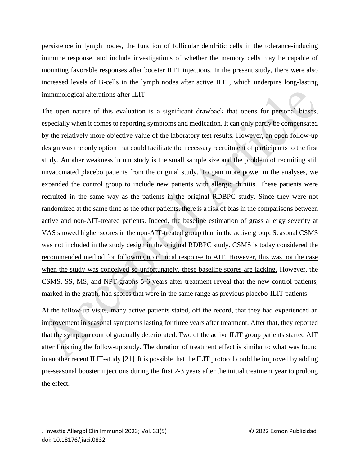persistence in lymph nodes, the function of follicular dendritic cells in the tolerance-inducing immune response, and include investigations of whether the memory cells may be capable of mounting favorable responses after booster ILIT injections. In the present study, there were also increased levels of B-cells in the lymph nodes after active ILIT, which underpins long-lasting immunological alterations after ILIT.

The open nature of this evaluation is a significant drawback that opens for personal biases, especially when it comes to reporting symptoms and medication. It can only partly be compensated by the relatively more objective value of the laboratory test results. However, an open follow-up design was the only option that could facilitate the necessary recruitment of participants to the first study. Another weakness in our study is the small sample size and the problem of recruiting still unvaccinated placebo patients from the original study. To gain more power in the analyses, we expanded the control group to include new patients with allergic rhinitis. These patients were recruited in the same way as the patients in the original RDBPC study. Since they were not randomized at the same time as the other patients, there is a risk of bias in the comparisons between active and non-AIT-treated patients. Indeed, the baseline estimation of grass allergy severity at VAS showed higher scores in the non-AIT-treated group than in the active group. Seasonal CSMS was not included in the study design in the original RDBPC study. CSMS is today considered the recommended method for following up clinical response to AIT. However, this was not the case when the study was conceived so unfortunately, these baseline scores are lacking. However, the CSMS, SS, MS, and NPT graphs 5-6 years after treatment reveal that the new control patients, marked in the graph, had scores that were in the same range as previous placebo-ILIT patients.

At the follow-up visits, many active patients stated, off the record, that they had experienced an improvement in seasonal symptoms lasting for three years after treatment. After that, they reported that the symptom control gradually deteriorated. Two of the active ILIT group patients started AIT after finishing the follow-up study. The duration of treatment effect is similar to what was found in another recent ILIT-study [21]. It is possible that the ILIT protocol could be improved by adding pre-seasonal booster injections during the first 2-3 years after the initial treatment year to prolong the effect.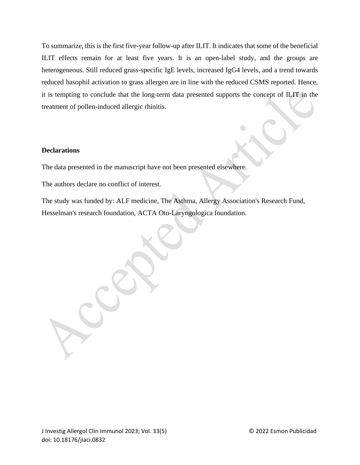To summarize, this is the first five-year follow-up after ILIT. It indicates that some of the beneficial ILIT effects remain for at least five years. It is an open-label study, and the groups are heterogeneous. Still reduced grass-specific IgE levels, increased IgG4 levels, and a trend towards reduced basophil activation to grass allergen are in line with the reduced CSMS reported. Hence, it is tempting to conclude that the long-term data presented supports the concept of ILIT in the treatment of pollen-induced allergic rhinitis.

## **Declarations**

The data presented in the manuscript have not been presented elsewhere.

The authors declare no conflict of interest.

The study was funded by: ALF medicine, The Asthma, Allergy Association's Research Fund, Hesselman's research foundation, ACTA Oto-Laryngologica foundation.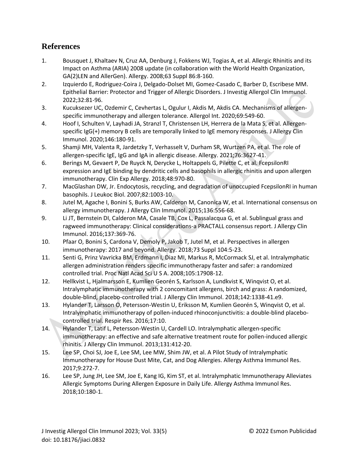# **References**

- 1. Bousquet J, Khaltaev N, Cruz AA, Denburg J, Fokkens WJ, Togias A, et al. Allergic Rhinitis and its Impact on Asthma (ARIA) 2008 update (in collaboration with the World Health Organization, GA(2)LEN and AllerGen). Allergy. 2008;63 Suppl 86:8-160.
- 2. Izquierdo E, Rodriguez-Coira J, Delgado-Dolset MI, Gomez-Casado C, Barber D, Escribese MM. Epithelial Barrier: Protector and Trigger of Allergic Disorders. J Investig Allergol Clin Immunol. 2022;32:81-96.
- 3. Kucuksezer UC, Ozdemir C, Cevhertas L, Ogulur I, Akdis M, Akdis CA. Mechanisms of allergenspecific immunotherapy and allergen tolerance. Allergol Int. 2020;69:549-60.
- 4. Hoof I, Schulten V, Layhadi JA, Stranzl T, Christensen LH, Herrera de la Mata S, et al. Allergenspecific IgG(+) memory B cells are temporally linked to IgE memory responses. J Allergy Clin Immunol. 2020;146:180-91.
- 5. Shamji MH, Valenta R, Jardetzky T, Verhasselt V, Durham SR, Wurtzen PA, et al. The role of allergen-specific IgE, IgG and IgA in allergic disease. Allergy. 2021;76:3627-41.
- 6. Berings M, Gevaert P, De Ruyck N, Derycke L, Holtappels G, Pilette C, et al. FcepsilonRI expression and IgE binding by dendritic cells and basophils in allergic rhinitis and upon allergen immunotherapy. Clin Exp Allergy. 2018;48:970-80.
- 7. MacGlashan DW, Jr. Endocytosis, recycling, and degradation of unoccupied FcepsilonRI in human basophils. J Leukoc Biol. 2007;82:1003-10.
- 8. Jutel M, Agache I, Bonini S, Burks AW, Calderon M, Canonica W, et al. International consensus on allergy immunotherapy. J Allergy Clin Immunol. 2015;136:556-68.
- 9. Li JT, Bernstein DI, Calderon MA, Casale TB, Cox L, Passalacqua G, et al. Sublingual grass and ragweed immunotherapy: Clinical considerations-a PRACTALL consensus report. J Allergy Clin Immunol. 2016;137:369-76.
- 10. Pfaar O, Bonini S, Cardona V, Demoly P, Jakob T, Jutel M, et al. Perspectives in allergen immunotherapy: 2017 and beyond. Allergy. 2018;73 Suppl 104:5-23.
- 11. Senti G, Prinz Vavricka BM, Erdmann I, Diaz MI, Markus R, McCormack SJ, et al. Intralymphatic allergen administration renders specific immunotherapy faster and safer: a randomized controlled trial. Proc Natl Acad Sci U S A. 2008;105:17908-12.
- 12. Hellkvist L, Hjalmarsson E, Kumlien Georén S, Karlsson A, Lundkvist K, Winqvist O, et al. Intralymphatic immunotherapy with 2 concomitant allergens, birch and grass: A randomized, double-blind, placebo-controlled trial. J Allergy Clin Immunol. 2018;142:1338-41.e9.
- 13. Hylander T, Larsson O, Petersson-Westin U, Eriksson M, Kumlien Georén S, Winqvist O, et al. Intralymphatic immunotherapy of pollen-induced rhinoconjunctivitis: a double-blind placebocontrolled trial. Respir Res. 2016;17:10.
- 14. Hylander T, Latif L, Petersson-Westin U, Cardell LO. Intralymphatic allergen-specific immunotherapy: an effective and safe alternative treatment route for pollen-induced allergic rhinitis. J Allergy Clin Immunol. 2013;131:412-20.
- 15. Lee SP, Choi SJ, Joe E, Lee SM, Lee MW, Shim JW, et al. A Pilot Study of Intralymphatic Immunotherapy for House Dust Mite, Cat, and Dog Allergies. Allergy Asthma Immunol Res. 2017;9:272-7.
- 16. Lee SP, Jung JH, Lee SM, Joe E, Kang IG, Kim ST, et al. Intralymphatic Immunotherapy Alleviates Allergic Symptoms During Allergen Exposure in Daily Life. Allergy Asthma Immunol Res. 2018;10:180-1.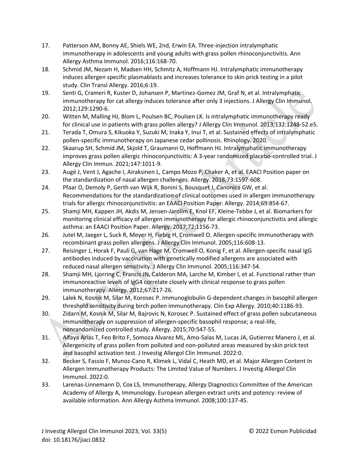- 17. Patterson AM, Bonny AE, Shiels WE, 2nd, Erwin EA. Three-injection intralymphatic immunotherapy in adolescents and young adults with grass pollen rhinoconjunctivitis. Ann Allergy Asthma Immunol. 2016;116:168-70.
- 18. Schmid JM, Nezam H, Madsen HH, Schmitz A, Hoffmann HJ. Intralymphatic immunotherapy induces allergen specific plasmablasts and increases tolerance to skin prick testing in a pilot study. Clin Transl Allergy. 2016;6:19.
- 19. Senti G, Crameri R, Kuster D, Johansen P, Martinez-Gomez JM, Graf N, et al. Intralymphatic immunotherapy for cat allergy induces tolerance after only 3 injections. J Allergy Clin Immunol. 2012;129:1290-6.
- 20. Witten M, Malling HJ, Blom L, Poulsen BC, Poulsen LK. Is intralymphatic immunotherapy ready for clinical use in patients with grass pollen allergy? J Allergy Clin Immunol. 2013;132:1248-52.e5.
- 21. Terada T, Omura S, Kikuoka Y, Suzuki M, Inaka Y, Inui T, et al. Sustained effects of intralymphatic pollen-specific immunotherapy on Japanese cedar pollinosis. Rhinology. 2020.
- 22. Skaarup SH, Schmid JM, Skjold T, Graumann O, Hoffmann HJ. Intralymphatic immunotherapy improves grass pollen allergic rhinoconjunctivitis: A 3-year randomized placebo-controlled trial. J Allergy Clin Immun. 2021;147:1011-9.
- 23. Augé J, Vent J, Agache I, Airaksinen L, Campo Mozo P, Chaker A, et al. EAACI Position paper on the standardization of nasal allergen challenges. Allergy. 2018;73:1597-608.
- 24. Pfaar O, Demoly P, Gerth van Wijk R, Bonini S, Bousquet J, Canonica GW, et al. Recommendations for the standardization of clinical outcomes used in allergen immunotherapy trials for allergic rhinoconjunctivitis: an EAACI Position Paper. Allergy. 2014;69:854-67.
- 25. Shamji MH, Kappen JH, Akdis M, Jensen-Jarolim E, Knol EF, Kleine-Tebbe J, et al. Biomarkers for monitoring clinical efficacy of allergen immunotherapy for allergic rhinoconjunctivitis and allergic asthma: an EAACI Position Paper. Allergy. 2017;72:1156-73.
- 26. Jutel M, Jaeger L, Suck R, Meyer H, Fiebig H, Cromwell O. Allergen-specific immunotherapy with recombinant grass pollen allergens. J Allergy Clin Immunol. 2005;116:608-13.
- 27. Reisinger J, Horak F, Pauli G, van Hage M, Cromwell O, Konig F, et al. Allergen-specific nasal IgG antibodies induced by vaccination with genetically modified allergens are associated with reduced nasal allergen sensitivity. J Allergy Clin Immunol. 2005;116:347-54.
- 28. Shamji MH, Ljorring C, Francis JN, Calderon MA, Larche M, Kimber I, et al. Functional rather than immunoreactive levels of IgG4 correlate closely with clinical response to grass pollen immunotherapy. Allergy. 2012;67:217-26.
- 29. Lalek N, Kosnik M, Silar M, Korosec P. Immunoglobulin G-dependent changes in basophil allergen threshold sensitivity during birch pollen immunotherapy. Clin Exp Allergy. 2010;40:1186-93.
- 30. Zidarn M, Kosnik M, Silar M, Bajrovic N, Korosec P. Sustained effect of grass pollen subcutaneous immunotherapy on suppression of allergen-specific basophil response; a real-life, nonrandomized controlled study. Allergy. 2015;70:547-55.
- 31. Alfaya Arias T, Feo Brito F, Somoza Alvarez ML, Amo-Salas M, Lucas JA, Gutierrez Manero J, et al. Allergenicity of grass pollen from polluted and non-polluted areas measured by skin prick test and basophil activation test. J Investig Allergol Clin Immunol. 2022:0.
- 32. Becker S, Fassio F, Munoz-Cano R, Klimek L, Vidal C, Heath MD, et al. Major Allergen Content In Allergen Immunotherapy Products: The Limited Value of Numbers. J Investig Allergol Clin Immunol. 2022:0.
- 33. Larenas-Linnemann D, Cox LS, Immunotherapy, Allergy Diagnostics Committee of the American Academy of Allergy A, Immunology. European allergen extract units and potency: review of available information. Ann Allergy Asthma Immunol. 2008;100:137-45.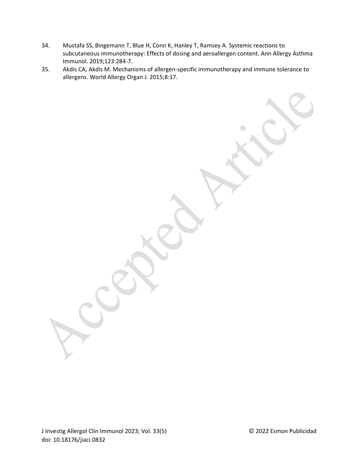- 34. Mustafa SS, Bingemann T, Blue H, Conn K, Hanley T, Ramsey A. Systemic reactions to subcutaneous immunotherapy: Effects of dosing and aeroallergen content. Ann Allergy Asthma Immunol. 2019;123:284-7.
- 35. Akdis CA, Akdis M. Mechanisms of allergen-specific immunotherapy and immune tolerance to allergens. World Allergy Organ J. 2015;8:17.

J Investig Allergol Clin Immunol 2023; Vol. 33(5) © 2022 Esmon Publicidad doi: 10.18176/jiaci.0832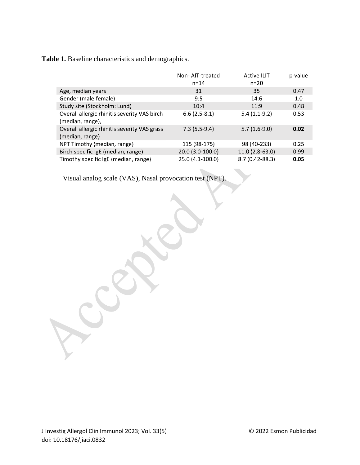**Table 1.** Baseline characteristics and demographics.

|                                              | Non-AIT-treated  | <b>Active ILIT</b> | p-value |
|----------------------------------------------|------------------|--------------------|---------|
|                                              | $n = 14$         | $n = 20$           |         |
| Age, median years                            | 31               | 35                 | 0.47    |
| Gender (male:female)                         | 9:5              | 14:6               | 1.0     |
| Study site (Stockholm: Lund)                 | 10:4             | 11:9               | 0.48    |
| Overall allergic rhinitis severity VAS birch | $6.6(2.5-8.1)$   | $5.4(1.1-9.2)$     | 0.53    |
| (median, range),                             |                  |                    |         |
| Overall allergic rhinitis severity VAS grass | $7.3(5.5-9.4)$   | $5.7(1.6-9.0)$     | 0.02    |
| (median, range)                              |                  |                    |         |
| NPT Timothy (median, range)                  | 115 (98-175)     | 98 (40-233)        | 0.25    |
| Birch specific IgE (median, range)           | 20.0 (3.0-100.0) | 11.0 (2.8-63.0)    | 0.99    |
| Timothy specific IgE (median, range)         | 25.0 (4.1-100.0) | 8.7 (0.42-88.3)    | 0.05    |

Visual analog scale (VAS), Nasal provocation test (NPT).

J Investig Allergol Clin Immunol 2023; Vol. 33(5) © 2022 Esmon Publicidad doi: 10.18176/jiaci.0832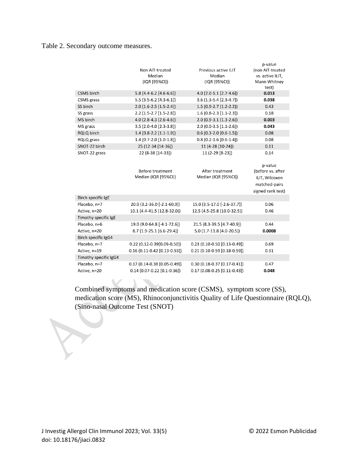# Table 2. Secondary outcome measures.

|                       |                                     |                                  | p-value           |
|-----------------------|-------------------------------------|----------------------------------|-------------------|
|                       | Non AIT-treated                     | Previous active ILIT             | (non AIT-treated  |
|                       | Median                              | Median                           | vs. active ILIT,  |
|                       | (IQR [95%CI])                       | (IQR [95%CI])                    | Mann Whitney      |
|                       |                                     |                                  | test)             |
| CSMS birch            | $5.8$ (4.4-6.2 [4.6-6.6])           | $4.0(2.0-5.1[2.7-4.6])$          | 0.013             |
| CSMS grass            | $5.5(3.5-6.2[4.3-6.1])$             | 3.6 (1.3-5.4 [2.3-4.7])          | 0.038             |
| SS birch              | 2.0 (1.6-2.5 [1.5-2.4])             | 1.5 (0.9-2.7 [1.2-2.2])          | 0.43              |
| SS grass              | 2.2 (1.5-2.7 [1.5-2.8])             | $1.6(0.8-2.3[1.1-2.3])$          | 0.18              |
| MS birch              | $4.0$ (2.8-4.3 [2.6-4.6])           | $2.0$ (0.9-3.1 [1.3-2.6])        | 0.003             |
| MS grass              | 3.5 (2.0-4.0 [2.3-3.8])             | $2.0(0.0-3.5[1.1-2.6])$          | 0.043             |
| RQLQ birch            | $1.4(0.8-2.2[1.1-1.9])$             | $0.6$ (0.3-2.0 [0.6-1.5])        | 0.08              |
| RQLQ grass            | $1.4(0.7-2.0[1.0-1.8])$             | $0.8(0.2 - 1.6[0.6 - 1.4])$      | 0.08              |
| SNOT-22 birch         | 25 (12-34 [14-36])                  | 11 (4-28 [10-24])                | 0.11              |
| SNOT-22 grass         | 22 (8-38 [14-33])                   | 11 (2-29 [8-23])                 | 0.14              |
|                       |                                     |                                  |                   |
|                       |                                     |                                  | p-value           |
|                       | Before treatment                    | After treatment                  | (before vs. after |
|                       | Median (IQR [95%CI])                | Median (IQR [95%CI])             | ILIT, Wilcoxon    |
|                       |                                     |                                  | matched-pairs     |
|                       |                                     |                                  | signed rank test) |
| Birch specific IgE    |                                     |                                  |                   |
| Placebo, n=7          | 20.0 (3.2-36.0 [-2.1-60.0])         | 15.0 (3.5-17.0 [-2.6-37.7])      | 0.06              |
| Active, n=20          | 10.1 (4.4-41.5 [12.8-32.0])         | 12.5 (4.5-25.8 [10.0-32.5])      | 0.46              |
| Timothy specific IgE  |                                     |                                  |                   |
| Placebo, n=6          | 19.0 (9.0-64.8 [-4.1-72.6])         | 21.5 (8.3-39.5 [4.7-40.9])       | 0.44              |
| Active, n=20          | 8.7 (1.9-25.1 [6.6-29.4])           | 5.0 (1.7-11.8 [4.0-20.5])        | 0.0008            |
| Birch specific IgG4   |                                     |                                  |                   |
| Placebo, n=7          | $0.22$ (0.12-0.39 $[0.09 - 0.50]$ ) | 0.23 (0.10-0.50 [0.13-0.49])     | 0.69              |
| Active, n=19          | $0.16(0.11-0.42[0.13-0.53])$        | 0.21 (0.10-0.59 [0.18-0.59])     | 0.31              |
| Timothy specific IgG4 |                                     |                                  |                   |
| Placebo, n=7          | $0.17(0.14-0.38[0.05-0.49])$        | $0.30(0.18-0.37[0.17-0.41])$     | 0.47              |
| Active, n=20          | 0.14 (0.07-0.22 [0.1-0.36])         | $0.17(0.08 - 0.25(0.11 - 0.43))$ | 0.048             |

Combined symptoms and medication score (CSMS), symptom score (SS), medication score (MS), Rhinoconjunctivitis Quality of Life Questionnaire (RQLQ), (Sino-nasal Outcome Test (SNOT)

X,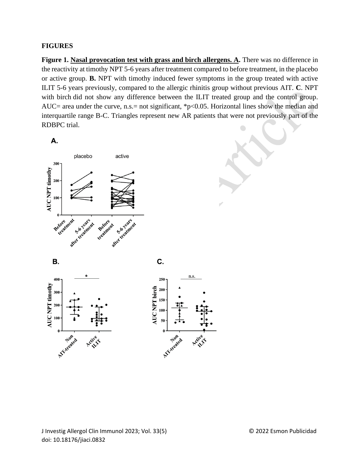## **FIGURES**

**Figure 1. Nasal provocation test with grass and birch allergens. A.** There was no difference in the reactivity at timothy NPT 5-6 years after treatment compared to before treatment, in the placebo or active group. **B.** NPT with timothy induced fewer symptoms in the group treated with active ILIT 5-6 years previously, compared to the allergic rhinitis group without previous AIT. **C**. NPT with birch did not show any difference between the ILIT treated group and the control group. AUC= area under the curve, n.s.= not significant, \*p<0.05. Horizontal lines show the median and interquartile range B-C. Triangles represent new AR patients that were not previously part of the RDBPC trial.

А.

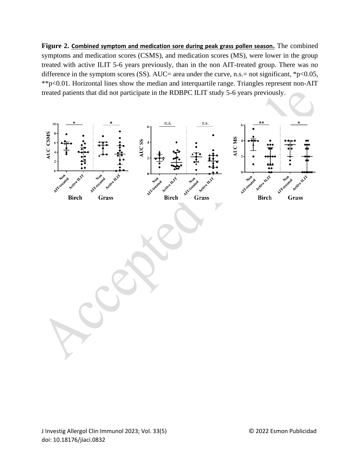**Figure 2. Combined symptom and medication sore during peak grass pollen season.** The combined symptoms and medication scores (CSMS), and medication scores (MS), were lower in the group treated with active ILIT 5-6 years previously, than in the non AIT-treated group. There was no difference in the symptom scores (SS). AUC= area under the curve, n.s.= not significant, \*p<0.05, \*\*p<0.01. Horizontal lines show the median and interquartile range. Triangles represent non-AIT treated patients that did not participate in the RDBPC ILIT study 5-6 years previously.

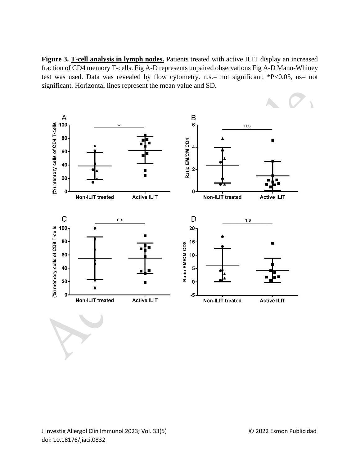**Figure 3. T-cell analysis in lymph nodes.** Patients treated with active ILIT display an increased fraction of CD4 memory T-cells. Fig A-D represents unpaired observations Fig A-D Mann-Whiney test was used. Data was revealed by flow cytometry. n.s.= not significant, \*P<0.05, ns= not significant. Horizontal lines represent the mean value and SD.